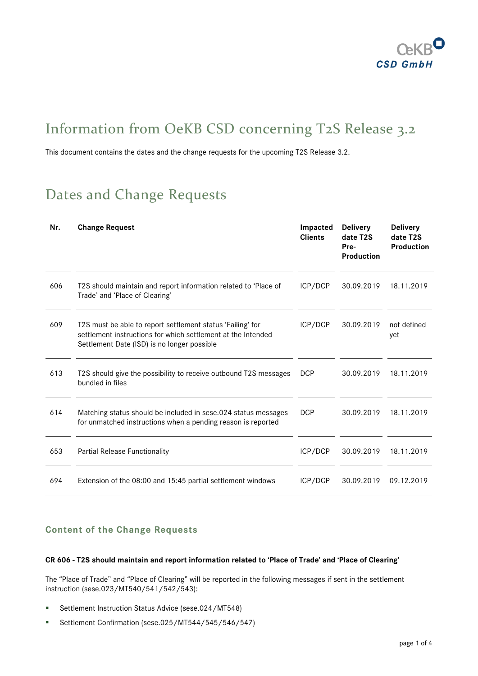

# Information from OeKB CSD concerning T2S Release 3.2

This document contains the dates and the change requests for the upcoming T2S Release 3.2.

# Dates and Change Requests

| Nr. | <b>Change Request</b>                                                                                                                                                     | Impacted<br><b>Clients</b> | <b>Delivery</b><br>date T2S<br>Pre-<br>Production | <b>Delivery</b><br>date T2S<br><b>Production</b> |
|-----|---------------------------------------------------------------------------------------------------------------------------------------------------------------------------|----------------------------|---------------------------------------------------|--------------------------------------------------|
| 606 | T2S should maintain and report information related to 'Place of<br>Trade' and 'Place of Clearing'                                                                         | ICP/DCP                    | 30.09.2019                                        | 18.11.2019                                       |
| 609 | T2S must be able to report settlement status 'Failing' for<br>settlement instructions for which settlement at the Intended<br>Settlement Date (ISD) is no longer possible | ICP/DCP                    | 30.09.2019                                        | not defined<br>yet                               |
| 613 | T2S should give the possibility to receive outbound T2S messages<br>bundled in files                                                                                      | <b>DCP</b>                 | 30.09.2019                                        | 18.11.2019                                       |
| 614 | Matching status should be included in sese.024 status messages<br>for unmatched instructions when a pending reason is reported                                            | <b>DCP</b>                 | 30.09.2019                                        | 18.11.2019                                       |
| 653 | <b>Partial Release Functionality</b>                                                                                                                                      | ICP/DCP                    | 30.09.2019                                        | 18.11.2019                                       |
| 694 | Extension of the 08:00 and 15:45 partial settlement windows                                                                                                               | ICP/DCP                    | 30.09.2019                                        | 09.12.2019                                       |

# **Content of the Change Requests**

# **CR 606 - T2S should maintain and report information related to 'Place of Trade' and 'Place of Clearing'**

The "Place of Trade" and "Place of Clearing" will be reported in the following messages if sent in the settlement instruction (sese.023/MT540/541/542/543):

- Settlement Instruction Status Advice (sese.024/MT548)
- Settlement Confirmation (sese.025/MT544/545/546/547)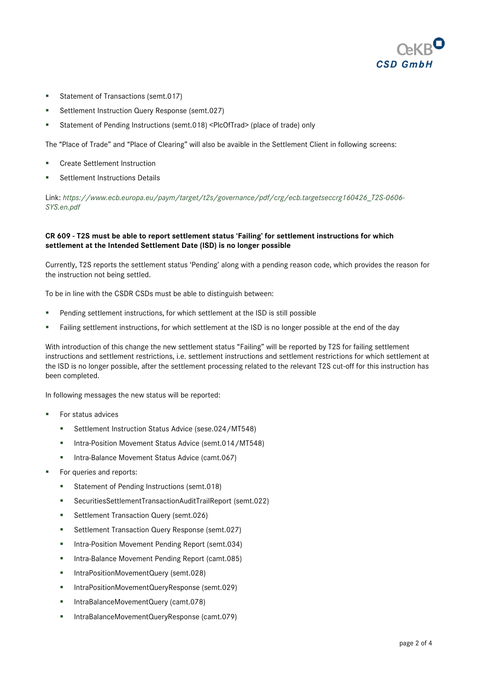

- Statement of Transactions (semt.017)
- Settlement Instruction Query Response (semt.027)
- Statement of Pending Instructions (semt.018) <PlcOfTrad> (place of trade) only

The "Place of Trade" and "Place of Clearing" will also be avaible in the Settlement Client in following screens:

- **EXECT** Create Settlement Instruction
- **Settlement Instructions Details**

Link: *[https://www.ecb.europa.eu/paym/target/t2s/governance/pdf/crg/ecb.targetseccrg160426\\_T2S-0606-](https://www.ecb.europa.eu/paym/target/t2s/governance/pdf/crg/ecb.targetseccrg160426_T2S-0606-SYS.en.pdf) [SYS.en.pdf](https://www.ecb.europa.eu/paym/target/t2s/governance/pdf/crg/ecb.targetseccrg160426_T2S-0606-SYS.en.pdf)*

## **CR 609 - T2S must be able to report settlement status 'Failing' for settlement instructions for which settlement at the Intended Settlement Date (ISD) is no longer possible**

Currently, T2S reports the settlement status 'Pending' along with a pending reason code, which provides the reason for the instruction not being settled.

To be in line with the CSDR CSDs must be able to distinguish between:

- Pending settlement instructions, for which settlement at the ISD is still possible
- Failing settlement instructions, for which settlement at the ISD is no longer possible at the end of the day

With introduction of this change the new settlement status "Failing" will be reported by T2S for failing settlement instructions and settlement restrictions, i.e. settlement instructions and settlement restrictions for which settlement at the ISD is no longer possible, after the settlement processing related to the relevant T2S cut-off for this instruction has been completed.

In following messages the new status will be reported:

- For status advices
	- Settlement Instruction Status Advice (sese.024/MT548)
	- Intra-Position Movement Status Advice (semt.014/MT548)
	- **Intra-Balance Movement Status Advice (camt.067)**
- For queries and reports:
	- Statement of Pending Instructions (semt.018)
	- SecuritiesSettlementTransactionAuditTrailReport (semt.022)
	- Settlement Transaction Query (semt.026)
	- **Settlement Transaction Query Response (semt.027)**
	- **Intra-Position Movement Pending Report (semt.034)**
	- **Intra-Balance Movement Pending Report (camt.085)**
	- IntraPositionMovementQuery (semt.028)
	- IntraPositionMovementQueryResponse (semt.029)
	- IntraBalanceMovementQuery (camt.078)
	- IntraBalanceMovementQueryResponse (camt.079)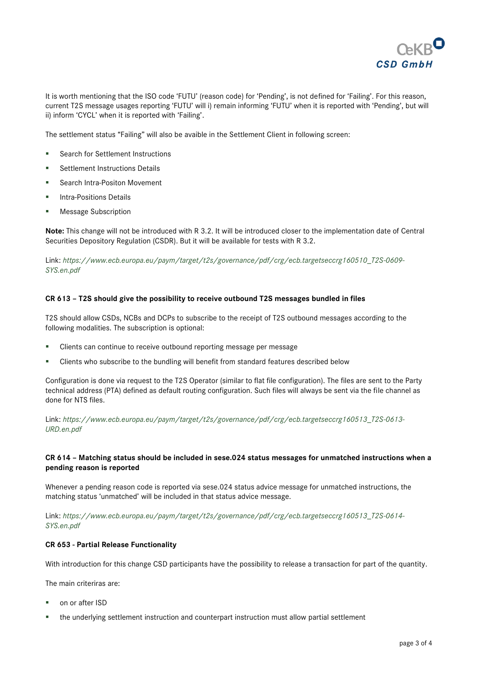

It is worth mentioning that the ISO code 'FUTU' (reason code) for 'Pending', is not defined for 'Failing'. For this reason, current T2S message usages reporting 'FUTU' will i) remain informing 'FUTU' when it is reported with 'Pending', but will ii) inform 'CYCL' when it is reported with 'Failing'.

The settlement status "Failing" will also be avaible in the Settlement Client in following screen:

- Search for Settlement Instructions
- **Settlement Instructions Details**
- **Search Intra-Positon Movement**
- **Intra-Positions Details**
- **Message Subscription**

**Note:** This change will not be introduced with R 3.2. It will be introduced closer to the implementation date of Central Securities Depository Regulation (CSDR). But it will be available for tests with R 3.2.

Link: *[https://www.ecb.europa.eu/paym/target/t2s/governance/pdf/crg/ecb.targetseccrg160510\\_T2S-0609-](https://www.ecb.europa.eu/paym/target/t2s/governance/pdf/crg/ecb.targetseccrg160510_T2S-0609-SYS.en.pdf) [SYS.en.pdf](https://www.ecb.europa.eu/paym/target/t2s/governance/pdf/crg/ecb.targetseccrg160510_T2S-0609-SYS.en.pdf)*

#### **CR 613 – T2S should give the possibility to receive outbound T2S messages bundled in files**

T2S should allow CSDs, NCBs and DCPs to subscribe to the receipt of T2S outbound messages according to the following modalities. The subscription is optional:

- Clients can continue to receive outbound reporting message per message
- Clients who subscribe to the bundling will benefit from standard features described below

Configuration is done via request to the T2S Operator (similar to flat file configuration). The files are sent to the Party technical address (PTA) defined as default routing configuration. Such files will always be sent via the file channel as done for NTS files.

Link: *[https://www.ecb.europa.eu/paym/target/t2s/governance/pdf/crg/ecb.targetseccrg160513\\_T2S-0613-](https://www.ecb.europa.eu/paym/target/t2s/governance/pdf/crg/ecb.targetseccrg160513_T2S-0613-URD.en.pdf) [URD.en.pdf](https://www.ecb.europa.eu/paym/target/t2s/governance/pdf/crg/ecb.targetseccrg160513_T2S-0613-URD.en.pdf)*

### **CR 614 – Matching status should be included in sese.024 status messages for unmatched instructions when a pending reason is reported**

Whenever a pending reason code is reported via sese.024 status advice message for unmatched instructions, the matching status 'unmatched' will be included in that status advice message.

Link: *[https://www.ecb.europa.eu/paym/target/t2s/governance/pdf/crg/ecb.targetseccrg160513\\_T2S-0614-](https://www.ecb.europa.eu/paym/target/t2s/governance/pdf/crg/ecb.targetseccrg160513_T2S-0614-SYS.en.pdf) [SYS.en.pdf](https://www.ecb.europa.eu/paym/target/t2s/governance/pdf/crg/ecb.targetseccrg160513_T2S-0614-SYS.en.pdf)*

#### **CR 653 - Partial Release Functionality**

With introduction for this change CSD participants have the possibility to release a transaction for part of the quantity.

The main criteriras are:

- on or after ISD
- the underlying settlement instruction and counterpart instruction must allow partial settlement